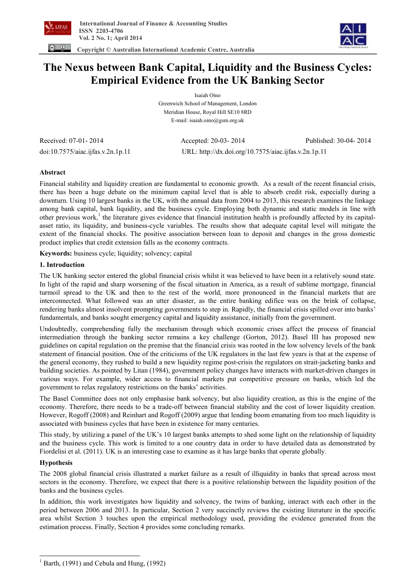



 **Copyright © Australian International Academic Centre, Australia** 

# **The Nexus between Bank Capital, Liquidity and the Business Cycles: Empirical Evidence from the UK Banking Sector**

Isaiah Oino Greenwich School of Management, London Meridian House, Royal Hill SE10 8RD E-mail: isaiah.oino@gsm.org.uk

Received: 07-01- 2014 Accepted: 20-03- 2014 Published: 30-04- 2014 doi:10.7575/aiac.ijfas.v.2n.1p.11 URL: http://dx.doi.org/10.7575/aiac.ijfas.v.2n.1p.11

# **Abstract**

Financial stability and liquidity creation are fundamental to economic growth. As a result of the recent financial crisis, there has been a huge debate on the minimum capital level that is able to absorb credit risk, especially during a downturn. Using 10 largest banks in the UK, with the annual data from 2004 to 2013, this research examines the linkage among bank capital, bank liquidity, and the business cycle. Employing both dynamic and static models in line with other previous work,<sup>1</sup> the literature gives evidence that financial institution health is profoundly affected by its capitalasset ratio, its liquidity, and business-cycle variables. The results show that adequate capital level will mitigate the extent of the financial shocks. The positive association between loan to deposit and changes in the gross domestic product implies that credit extension falls as the economy contracts.

**Keywords:** business cycle; liquidity; solvency; capital

# **1. Introduction**

The UK banking sector entered the global financial crisis whilst it was believed to have been in a relatively sound state. In light of the rapid and sharp worsening of the fiscal situation in America, as a result of sublime mortgage, financial turmoil spread to the UK and then to the rest of the world, more pronounced in the financial markets that are interconnected. What followed was an utter disaster, as the entire banking edifice was on the brink of collapse, rendering banks almost insolvent prompting governments to step in. Rapidly, the financial crisis spilled over into banks' fundamentals, and banks sought emergency capital and liquidity assistance, initially from the government.

Undoubtedly, comprehending fully the mechanism through which economic crises affect the process of financial intermediation through the banking sector remains a key challenge (Gorton, 2012). Basel III has proposed new guidelines on capital regulation on the premise that the financial crisis was rooted in the low solvency levels of the bank statement of financial position. One of the criticisms of the UK regulators in the last few years is that at the expense of the general economy, they rushed to build a new liquidity regime post-crisis the regulators on strait-jacketing banks and building societies. As pointed by Litan (1984), government policy changes have interacts with market-driven changes in various ways. For example, wider access to financial markets put competitive pressure on banks, which led the government to relax regulatory restrictions on the banks' activities.

The Basel Committee does not only emphasise bank solvency, but also liquidity creation, as this is the engine of the economy. Therefore, there needs to be a trade-off between financial stability and the cost of lower liquidity creation. However, Rogoff (2008) and Reinhart and Rogoff (2009) argue that lending boom emanating from too much liquidity is associated with business cycles that have been in existence for many centuries.

This study, by utilizing a panel of the UK's 10 largest banks attempts to shed some light on the relationship of liquidity and the business cycle. This work is limited to a one country data in order to have detailed data as demonstrated by Fiordelisi et al. (2011). UK is an interesting case to examine as it has large banks that operate globally.

## **Hypothesis**

l

The 2008 global financial crisis illustrated a market failure as a result of illiquidity in banks that spread across most sectors in the economy. Therefore, we expect that there is a positive relationship between the liquidity position of the banks and the business cycles.

In addition, this work investigates how liquidity and solvency, the twins of banking, interact with each other in the period between 2006 and 2013. In particular, Section 2 very succinctly reviews the existing literature in the specific area whilst Section 3 touches upon the empirical methodology used, providing the evidence generated from the estimation process. Finally, Section 4 provides some concluding remarks.

 $1$  Barth, (1991) and Cebula and Hung, (1992)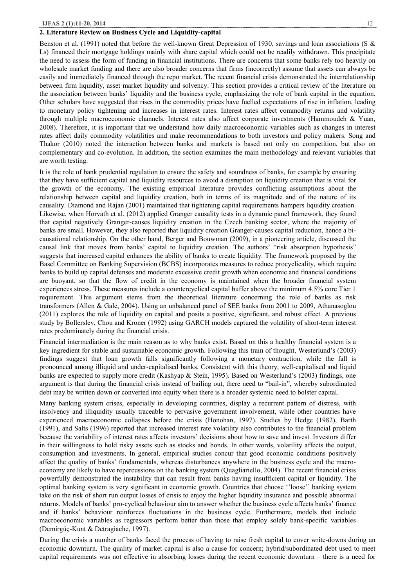## **2. Literature Review on Business Cycle and Liquidity-capital**

Benston et al. (1991) noted that before the well-known Great Depression of 1930, savings and loan associations (S & Ls) financed their mortgage holdings mainly with share capital which could not be readily withdrawn. This precipitate the need to assess the form of funding in financial institutions. There are concerns that some banks rely too heavily on wholesale market funding and there are also broader concerns that firms (incorrectly) assume that assets can always be easily and immediately financed through the repo market. The recent financial crisis demonstrated the interrelationship between firm liquidity, asset market liquidity and solvency. This section provides a critical review of the literature on the association between banks' liquidity and the business cycle, emphasizing the role of bank capital in the equation. Other scholars have suggested that rises in the commodity prices have fuelled expectations of rise in inflation, leading to monetary policy tightening and increases in interest rates. Interest rates affect commodity returns and volatility through multiple macroeconomic channels. Interest rates also affect corporate investments (Hammoudeh & Yuan, 2008). Therefore, it is important that we understand how daily macroeconomic variables such as changes in interest rates affect daily commodity volatilities and make recommendations to both investors and policy makers. Song and Thakor (2010) noted the interaction between banks and markets is based not only on competition, but also on complementary and co-evolution. In addition, the section examines the main methodology and relevant variables that are worth testing.

It is the role of bank prudential regulation to ensure the safety and soundness of banks, for example by ensuring that they have sufficient capital and liquidity resources to avoid a disruption on liquidity creation that is vital for the growth of the economy. The existing empirical literature provides conflicting assumptions about the relationship between capital and liquidity creation, both in terms of its magnitude and of the nature of its causality. Diamond and Rajan (2001) maintained that tightening capital requirements hampers liquidity creation. Likewise, when Horvath et al. (2012) applied Granger causality tests in a dynamic panel framework, they found that capital negatively Granger-causes liquidity creation in the Czech banking sector, where the majority of banks are small. However, they also reported that liquidity creation Granger-causes capital reduction, hence a bicausational relationship. On the other hand, Berger and Bouwman (2009), in a pioneering article, discussed the causal link that moves from banks' capital to liquidity creation. The authors' "risk absorption hypothesis" suggests that increased capital enhances the ability of banks to create liquidity. The framework proposed by the Basel Committee on Banking Supervision (BCBS) incorporates measures to reduce procyclicality, which require banks to build up capital defenses and moderate excessive credit growth when economic and financial conditions are buoyant, so that the flow of credit in the economy is maintained when the broader financial system experiences stress. These measures include a countercyclical capital buffer above the minimum 4.5% core Tier 1 requirement. This argument stems from the theoretical literature concerning the role of banks as risk transformers (Allen & Gale, 2004). Using an unbalanced panel of SEE banks from 2001 to 2009, Athanasoglou (2011) explores the role of liquidity on capital and posits a positive, significant, and robust effect. A previous study by Bollerslev, Chou and Kroner (1992) using GARCH models captured the volatility of short-term interest rates predominately during the financial crisis.

Financial intermediation is the main reason as to why banks exist. Based on this a healthy financial system is a key ingredient for stable and sustainable economic growth. Following this train of thought, Westerlund's (2003) findings suggest that loan growth falls significantly following a monetary contraction, while the fall is pronounced among illiquid and under-capitalised banks. Consistent with this theory, well-capitalised and liquid banks are expected to supply more credit (Kashyap & Stein, 1995). Based on Westerlund's (2003) findings, one argument is that during the financial crisis instead of bailing out, there need to "bail-in", whereby subordinated debt may be written down or converted into equity when there is a broader systemic need to bolster capital.

Many banking system crises, especially in developing countries, display a recurrent pattern of distress, with insolvency and illiquidity usually traceable to pervasive government involvement, while other countries have experienced macroeconomic collapses before the crisis (Honohan, 1997). Studies by Hedge (1982), Barth (1991), and Salts (1996) reported that increased interest rate volatility also contributes to the financial problem because the variability of interest rates affects investors' decisions about how to save and invest. Investors differ in their willingness to hold risky assets such as stocks and bonds. In other words, volatility affects the output, consumption and investments. In general, empirical studies concur that good economic conditions positively affect the quality of banks' fundamentals, whereas disturbances anywhere in the business cycle and the macroeconomy are likely to have repercussions on the banking system (Quagliariello, 2004). The recent financial crisis powerfully demonstrated the instability that can result from banks having insufficient capital or liquidity. The optimal banking system is very significant in economic growth. Countries that choose ''loose'' banking system take on the risk of short run output losses of crisis to enjoy the higher liquidity insurance and possible abnormal returns. Models of banks' pro-cyclical behaviour aim to answer whether the business cycle affects banks' finance and if banks' behaviour reinforces fluctuations in the business cycle. Furthermore, models that include macroeconomic variables as regressors perform better than those that employ solely bank-specific variables (Demirgüç-Kunt & Detragiache, 1997).

During the crisis a number of banks faced the process of having to raise fresh capital to cover write-downs during an economic downturn. The quality of market capital is also a cause for concern; hybrid/subordinated debt used to meet capital requirements was not effective in absorbing losses during the recent economic downturn – there is a need for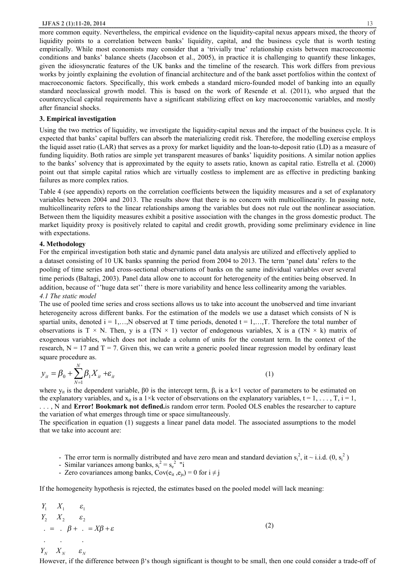more common equity. Nevertheless, the empirical evidence on the liquidity-capital nexus appears mixed, the theory of liquidity points to a correlation between banks' liquidity, capital, and the business cycle that is worth testing empirically. While most economists may consider that a 'trivially true' relationship exists between macroeconomic conditions and banks' balance sheets (Jacobson et al., 2005), in practice it is challenging to quantify these linkages, given the idiosyncratic features of the UK banks and the timeline of the research. This work differs from previous works by jointly explaining the evolution of financial architecture and of the bank asset portfolios within the context of macroeconomic factors. Specifically, this work embeds a standard micro-founded model of banking into an equally standard neoclassical growth model. This is based on the work of Resende et al. (2011), who argued that the countercyclical capital requirements have a significant stabilizing effect on key macroeconomic variables, and mostly after financial shocks.

## **3. Empirical investigation**

Using the two metrics of liquidity, we investigate the liquidity-capital nexus and the impact of the business cycle. It is expected that banks' capital buffers can absorb the materializing credit risk. Therefore, the modelling exercise employs the liquid asset ratio (LAR) that serves as a proxy for market liquidity and the loan-to-deposit ratio (LD) as a measure of funding liquidity. Both ratios are simple yet transparent measures of banks' liquidity positions. A similar notion applies to the banks' solvency that is approximated by the equity to assets ratio, known as capital ratio. Estrella et al. (2000) point out that simple capital ratios which are virtually costless to implement are as effective in predicting banking failures as more complex ratios.

Table 4 (see appendix) reports on the correlation coefficients between the liquidity measures and a set of explanatory variables between 2004 and 2013. The results show that there is no concern with multicollinearity. In passing note, multicollinearity refers to the linear relationships among the variables but does not rule out the nonlinear association. Between them the liquidity measures exhibit a positive association with the changes in the gross domestic product. The market liquidity proxy is positively related to capital and credit growth, providing some preliminary evidence in line with expectations.

## **4. Methodology**

For the empirical investigation both static and dynamic panel data analysis are utilized and effectively applied to a dataset consisting of 10 UK banks spanning the period from 2004 to 2013. The term 'panel data' refers to the pooling of time series and cross-sectional observations of banks on the same individual variables over several time periods (Baltagi, 2003). Panel data allow one to account for heterogeneity of the entities being observed. In addition, because of ''huge data set'' there is more variability and hence less collinearity among the variables. *4.1 The static model* 

The use of pooled time series and cross sections allows us to take into account the unobserved and time invariant heterogeneity across different banks. For the estimation of the models we use a dataset which consists of N is spartial units, denoted  $i = 1,...,N$  observed at T time periods, denoted  $t = 1,...,T$ . Therefore the total number of observations is T × N. Then, y is a (TN × 1) vector of endogenous variables, X is a (TN × k) matrix of exogenous variables, which does not include a column of units for the constant term. In the context of the research,  $N = 17$  and  $T = 7$ . Given this, we can write a generic pooled linear regression model by ordinary least square procedure as.

$$
y_{it} = \beta_0 + \sum_{N=1}^{N} \beta_1 X_{it} + \varepsilon_{it}
$$
 (1)

where  $y_{it}$  is the dependent variable,  $\beta 0$  is the intercept term,  $\beta_i$  is a k×1 vector of parameters to be estimated on the explanatory variables, and  $x_{it}$  is a 1×k vector of observations on the explanatory variables, t = 1, ..., T, i = 1, . . . , N and **Error! Bookmark not defined.**is random error term. Pooled OLS enables the researcher to capture the variation of what emerges through time or space simultaneously.

The specification in equation (1) suggests a linear panel data model. The associated assumptions to the model that we take into account are:

- The error term is normally distributed and have zero mean and standard deviation  $s_i^2$ , it ~ i.i.d.  $(0, s_i^2)$
- Similar variances among banks,  $s_i^2 = s_e^2$  "i
- Zero covariances among banks,  $Cov(e_{it}, e_{is}) = 0$  for  $i \neq j$

If the homogeneity hypothesis is rejected, the estimates based on the pooled model will lack meaning:

*b <sup>e</sup> e e e* = *b* + = *X* + *X X X Y Y Y N N N* . . . . . . 2 1 2 1 2 1 (2)

However, if the difference between β's though significant is thought to be small, then one could consider a trade-off of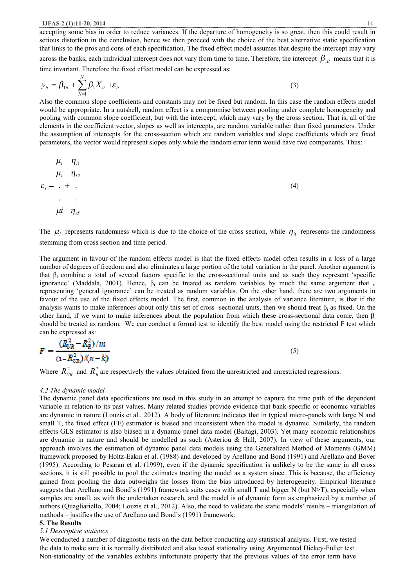accepting some bias in order to reduce variances. If the departure of homogeneity is so great, then this could result in serious distortion in the conclusion, hence we then proceed with the choice of the best alternative static specification that links to the pros and cons of each specification. The fixed effect model assumes that despite the intercept may vary across the banks, each individual intercept does not vary from time to time. Therefore, the intercept  $\beta_{1it}$  means that it is

time invariant. Therefore the fixed effect model can be expressed as:

$$
y_{it} = \beta_{1it} + \sum_{N=1}^{N} \beta_1 X_{it} + \varepsilon_{it}
$$
 (3)

Also the common slope coefficients and constants may not be fixed but random. In this case the random effects model would be appropriate. In a nutshell, random effect is a compromise between pooling under complete homogeneity and pooling with common slope coefficient, but with the intercept, which may vary by the cross section. That is, all of the elements in the coefficient vector, slopes as well as intercepts, are random variable rather than fixed parameters. Under the assumption of intercepts for the cross-section which are random variables and slope coefficients which are fixed parameters, the vector would represent slopes only while the random error term would have two components. Thus:

$$
\mu_i \quad \eta_{i1}
$$
\n
$$
\mu_i \quad \eta_{i2}
$$
\n
$$
\varepsilon_i = + \tag{4}
$$
\n
$$
\mu_i \quad \eta_{iT}
$$

The  $\mu_i$  represents randomness which is due to the choice of the cross section, while  $\eta_i$  represents the randomness stemming from cross section and time period.

The argument in favour of the random effects model is that the fixed effects model often results in a loss of a large number of degrees of freedom and also eliminates a large portion of the total variation in the panel. Another argument is that β<sub>i</sub> combine a total of several factors specific to the cross-sectional units and as such they represent 'specific ignorance' (Maddala, 2001). Hence,  $β<sub>i</sub>$  can be treated as random variables by much the same argument that  $i<sub>i</sub>$ representing 'general ignorance' can be treated as random variables. On the other hand, there are two arguments in favour of the use of the fixed effects model. The first, common in the analysis of variance literature, is that if the analysis wants to make inferences about only this set of cross -sectional units, then we should treat  $\beta_i$  as fixed. On the other hand, if we want to make inferences about the population from which these cross-sectional data come, then  $\beta_i$ should be treated as random. We can conduct a formal test to identify the best model using the restricted F test which can be expressed as:

$$
F = \frac{(R_{UR}^2 - R_R^2)/m}{(1 - R_{UR}^2)/(n - k)}
$$
(5)

Where  $R_{UR}^2$  and  $R_R^2$  are respectively the values obtained from the unrestricted and unrestricted regressions.

#### *4.2 The dynamic model*

The dynamic panel data specifications are used in this study in an attempt to capture the time path of the dependent variable in relation to its past values. Many related studies provide evidence that bank-specific or economic variables are dynamic in nature (Louzis et al., 2012). A body of literature indicates that in typical micro-panels with large N and small T, the fixed effect (FE) estimator is biased and inconsistent when the model is dynamic. Similarly, the random effects GLS estimator is also biased in a dynamic panel data model (Baltagi, 2003). Yet many economic relationships are dynamic in nature and should be modelled as such (Asteriou & Hall, 2007). In view of these arguments, our approach involves the estimation of dynamic panel data models using the Generalized Method of Moments (GMM) framework proposed by Holtz-Eakin et al. (1988) and developed by Arellano and Bond (1991) and Arellano and Bover (1995). According to Pesaran et al. (1999), even if the dynamic specification is unlikely to be the same in all cross sections, it is still possible to pool the estimates treating the model as a system since. This is because, the efficiency gained from pooling the data outweighs the losses from the bias introduced by heterogeneity. Empirical literature suggests that Arellano and Bond's (1991) framework suits cases with small T and bigger N (but N>T), especially when samples are small, as with the undertaken research, and the model is of dynamic form as emphasized by a number of authors (Quagliariello, 2004; Louzis et al., 2012). Also, the need to validate the static models' results – triangulation of methods – justifies the use of Arellano and Bond's (1991) framework.

## **5. The Results**

#### *5.1 Descriptive statistics*

We conducted a number of diagnostic tests on the data before conducting any statistical analysis. First, we tested the data to make sure it is normally distributed and also tested stationality using Argumented Dickey-Fuller test. Non-stationality of the variables exhibits unfortunate property that the previous values of the error term have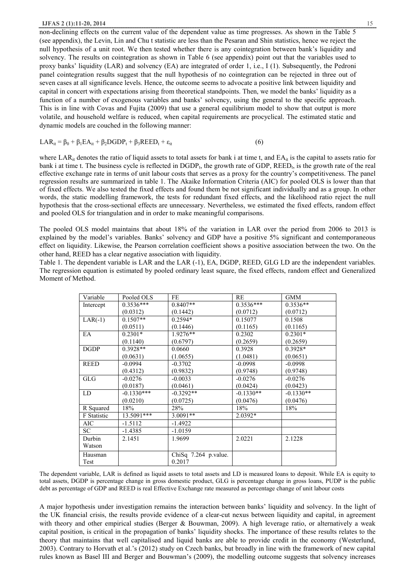#### **IJFAS 2 (1):11-20, 2014** 15

non-declining effects on the current value of the dependent value as time progresses. As shown in the Table 5 (see appendix), the Levin, Lin and Chu t statistic are less than the Pesaran and Shin statistics, hence we reject the null hypothesis of a unit root. We then tested whether there is any cointegration between bank's liquidity and solvency. The results on cointegration as shown in Table 6 (see appendix) point out that the variables used to proxy banks' liquidity (LAR) and solvency (EA) are integrated of order 1, i.e., I (1). Subsequently, the Pedroni panel cointegration results suggest that the null hypothesis of no cointegration can be rejected in three out of seven cases at all significance levels. Hence, the outcome seems to advocate a positive link between liquidity and capital in concert with expectations arising from theoretical standpoints. Then, we model the banks' liquidity as a function of a number of exogenous variables and banks' solvency, using the general to the specific approach. This is in line with Covas and Fujita (2009) that use a general equilibrium model to show that output is more volatile, and household welfare is reduced, when capital requirements are procyclical. The estimated static and dynamic models are couched in the following manner:

 $LAR_{it} = \beta_0 + \beta_1 EA_{it} + \beta_2 DGDP_t + \beta_3 REED_t + \varepsilon_{it}$ (6)

where LAR<sub>it</sub> denotes the ratio of liquid assets to total assets for bank i at time t, and  $EA_{it}$  is the capital to assets ratio for bank i at time t. The business cycle is reflected in  $DGDP_t$ , the growth rate of  $GDP$ ,  $REED_t$ , is the growth rate of the real effective exchange rate in terms of unit labour costs that serves as a proxy for the country's competitiveness. The panel regression results are summarized in table 1. The Akaike Information Criteria (AIC) for pooled OLS is lower than that of fixed effects. We also tested the fixed effects and found them be not significant individually and as a group. In other words, the static modelling framework, the tests for redundant fixed effects, and the likelihood ratio reject the null hypothesis that the cross-sectional effects are unnecessary. Nevertheless, we estimated the fixed effects, random effect and pooled OLS for triangulation and in order to make meaningful comparisons.

The pooled OLS model maintains that about 18% of the variation in LAR over the period from 2006 to 2013 is explained by the model's variables. Banks' solvency and GDP have a positive 5% significant and contemporaneous effect on liquidity. Likewise, the Pearson correlation coefficient shows a positive association between the two. On the other hand, REED has a clear negative association with liquidity.

Table 1. The dependent variable is LAR and the LAR (-1), EA, DGDP, REED, GLG LD are the independent variables. The regression equation is estimated by pooled ordinary least square, the fixed effects, random effect and Generalized Moment of Method.

| Variable    | Pooled OLS   | FE                   | RE          | <b>GMM</b>  |
|-------------|--------------|----------------------|-------------|-------------|
| Intercept   | $0.3536***$  | $0.8407**$           | $0.3536***$ | $0.3536**$  |
|             | (0.0312)     | (0.1442)             | (0.0712)    | (0.0712)    |
| $LAR(-1)$   | $0.1507**$   | $0.2594*$            | 0.15077     | 0.1508      |
|             | (0.0511)     | (0.1446)             | (0.1165)    | (0.1165)    |
| EA          | $0.2301*$    | 1.9276**             | 0.2302      | $0.2301*$   |
|             | (0.1140)     | (0.6797)             | (0.2659)    | (0.2659)    |
| <b>DGDP</b> | $0.3928**$   | 0.0660               | 0.3928      | $0.3928*$   |
|             | (0.0631)     | (1.0655)             | (1.0481)    | (0.0651)    |
| <b>REED</b> | $-0.0994$    | $-0.3702$            | $-0.0998$   | $-0.0998$   |
|             | (0.4312)     | (0.9832)             | (0.9748)    | (0.9748)    |
| <b>GLG</b>  | $-0.0276$    | $-0.0033$            | $-0.0276$   | $-0.0276$   |
|             | (0.0187)     | (0.0461)             | (0.0424)    | (0.0423)    |
| LD          | $-0.1330***$ | $-0.3292**$          | $-0.1330**$ | $-0.1330**$ |
|             | (0.0210)     | (0.0725)             | (0.0476)    | (0.0476)    |
| R Squared   | 18%          | 28%                  | 18%         | 18%         |
| F Statistic | 13.5091***   | $3.0091**$           | $2.0392*$   |             |
| <b>AIC</b>  | $-1.5112$    | $-1.4922$            |             |             |
| SC.         | -1.4385      | $-1.0159$            |             |             |
| Durbin      | 2.1451       | 1.9699               | 2.0221      | 2.1228      |
| Watson      |              |                      |             |             |
| Hausman     |              | ChiSq 7.264 p.value. |             |             |
| Test        |              | 0.2017               |             |             |

The dependent variable, LAR is defined as liquid assets to total assets and LD is measured loans to deposit. While EA is equity to total assets, DGDP is percentage change in gross domestic product, GLG is percentage change in gross loans, PUDP is the public debt as percentage of GDP and REED is real Effective Exchange rate measured as percentage change of unit labour costs

A major hypothesis under investigation remains the interaction between banks' liquidity and solvency. In the light of the UK financial crisis, the results provide evidence of a clear-cut nexus between liquidity and capital, in agreement with theory and other empirical studies (Berger & Bouwman, 2009). A high leverage ratio, or alternatively a weak capital position, is critical in the propagation of banks' liquidity shocks. The importance of these results relates to the theory that maintains that well capitalised and liquid banks are able to provide credit in the economy (Westerlund, 2003). Contrary to Horvath et al.'s (2012) study on Czech banks, but broadly in line with the framework of new capital rules known as Basel III and Berger and Bouwman's (2009), the modelling outcome suggests that solvency increases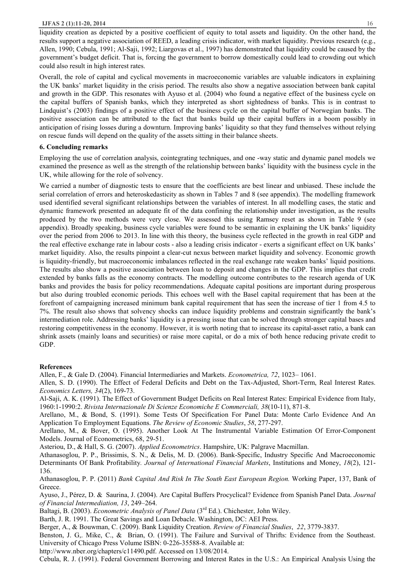liquidity creation as depicted by a positive coefficient of equity to total assets and liquidity. On the other hand, the results support a negative association of REED, a leading crisis indicator, with market liquidity. Previous research (e.g., Allen, 1990; Cebula, 1991; Al-Saji, 1992; Liargovas et al., 1997) has demonstrated that liquidity could be caused by the government's budget deficit. That is, forcing the government to borrow domestically could lead to crowding out which could also result in high interest rates.

Overall, the role of capital and cyclical movements in macroeconomic variables are valuable indicators in explaining the UK banks' market liquidity in the crisis period. The results also show a negative association between bank capital and growth in the GDP. This resonates with Ayuso et al. (2004) who found a negative effect of the business cycle on the capital buffers of Spanish banks, which they interpreted as short sightedness of banks. This is in contrast to Lindquist's (2003) findings of a positive effect of the business cycle on the capital buffer of Norwegian banks. The positive association can be attributed to the fact that banks build up their capital buffers in a boom possibly in anticipation of rising losses during a downturn. Improving banks' liquidity so that they fund themselves without relying on rescue funds will depend on the quality of the assets sitting in their balance sheets.

# **6. Concluding remarks**

Employing the use of correlation analysis, cointegrating techniques, and one -way static and dynamic panel models we examined the presence as well as the strength of the relationship between banks' liquidity with the business cycle in the UK, while allowing for the role of solvency.

We carried a number of diagnostic tests to ensure that the coefficients are best linear and unbiased. These include the serial correlation of errors and heteroskedasticity as shown in Tables 7 and 8 (see appendix). The modelling framework used identified several significant relationships between the variables of interest. In all modelling cases, the static and dynamic framework presented an adequate fit of the data confining the relationship under investigation, as the results produced by the two methods were very close. We assessed this using Ramsey reset as shown in Table 9 (see appendix). Broadly speaking, business cycle variables were found to be semantic in explaining the UK banks' liquidity over the period from 2006 to 2013. In line with this theory, the business cycle reflected in the growth in real GDP and the real effective exchange rate in labour costs - also a leading crisis indicator - exerts a significant effect on UK banks' market liquidity. Also, the results pinpoint a clear-cut nexus between market liquidity and solvency. Economic growth is liquidity-friendly, but macroeconomic imbalances reflected in the real exchange rate weaken banks' liquid positions. The results also show a positive association between loan to deposit and changes in the GDP. This implies that credit extended by banks falls as the economy contracts. The modelling outcome contributes to the research agenda of UK banks and provides the basis for policy recommendations. Adequate capital positions are important during prosperous but also during troubled economic periods. This echoes well with the Basel capital requirement that has been at the forefront of campaigning increased minimum bank capital requirement that has seen the increase of tier 1 from 4.5 to 7%. The result also shows that solvency shocks can induce liquidity problems and constrain significantly the bank's intermediation role. Addressing banks' liquidity is a pressing issue that can be solved through stronger capital bases and restoring competitiveness in the economy. However, it is worth noting that to increase its capital-asset ratio, a bank can shrink assets (mainly loans and securities) or raise more capital, or do a mix of both hence reducing private credit to GDP.

# **References**

Allen, F., & Gale D. (2004). Financial Intermediaries and Markets. *Econometrica, 72*, 1023– 1061.

Allen, S. D. (1990). The Effect of Federal Deficits and Debt on the Tax-Adjusted, Short-Term, Real Interest Rates. *Economics Letters, 34*(2), 169-73.

Al-Saji, A. K. (1991). The Effect of Government Budget Deficits on Real Interest Rates: Empirical Evidence from Italy, 1960:1-1990:2. *Rivista Internazionale Di Scienze Economiche E Commerciali, 38*(10-11), 871-8.

Arellano, M., & Bond, S. (1991). Some Tests Of Specification For Panel Data: Monte Carlo Evidence And An Application To Employment Equations. *The Review of Economic Studies*, *58*, 277-297.

Arellano, M., & Bover, O. (1995). Another Look At The Instrumental Variable Estimation Of Error-Component Models. Journal of Econometrics, 68, 29-51.

Asteriou, D., & Hall, S. G. (2007). *Applied Econometrics*. Hampshire, UK: Palgrave Macmillan.

Athanasoglou, P. P., Brissimis, S. N., & Delis, M. D. (2006). Bank-Specific, Industry Specific And Macroeconomic Determinants Of Bank Profitability*. Journal of International Financial Markets*, Institutions and Money, *18*(2), 121- 136.

Athanasoglou, P. P. (2011) *Bank Capital And Risk In The South East European Region.* Working Paper, 137, Bank of Greece.

Ayuso, J., Pérez, D. & Saurina, J. (2004). Are Capital Buffers Procyclical? Evidence from Spanish Panel Data. *Journal of Financial Intermediation, 13*, 249–264.

Baltagi, B. (2003). *Econometric Analysis of Panel Data* (3rd Ed.). Chichester, John Wiley.

Barth, J. R. 1991. The Great Savings and Loan Debacle. Washington, DC: AEI Press.

Berger, A., & Bouwman, C. (2009). Bank Liquidity Creation. *Review of Financial Studies*, *22*, 3779-3837.

Benston, J. G,. Mike, C., & Brian, O. (1991). The Failure and Survival of Thrifts: Evidence from the Southeast. University of Chicago Press Volume ISBN: 0-226-35588-8. Available at:

http://www.nber.org/chapters/c11490.pdf. Accessed on 13/08/2014.

Cebula, R. J. (1991). Federal Government Borrowing and Interest Rates in the U.S.: An Empirical Analysis Using the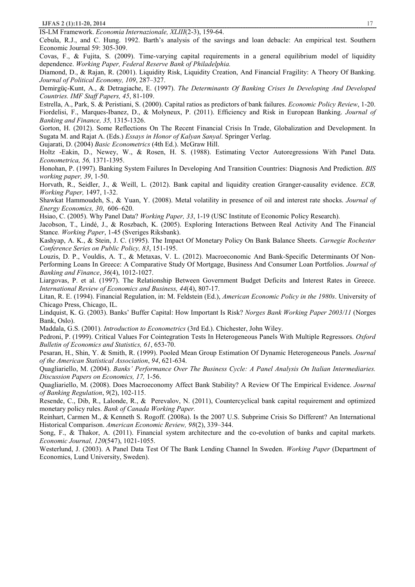IS-LM Framework. *Economia Internazionale, XLIII*(2-3), 159-64.

Cebula, R.J., and C. Hung. 1992. Barth's analysis of the savings and loan debacle: An empirical test. Southern Economic Journal 59: 305-309.

Covas, F., & Fujita, S. (2009). Time-varying capital requirements in a general equilibrium model of liquidity dependence. *Working Paper, Federal Reserve Bank of Philadelphia.* 

Diamond, D., & Rajan, R. (2001). Liquidity Risk, Liquidity Creation, And Financial Fragility: A Theory Of Banking. *Journal of Political Economy, 109*, 287–327.

Demirgüç-Kunt, A., & Detragiache, E. (1997). *The Determinants Of Banking Crises In Developing And Developed Countries. IMF Staff Papers, 45*, 81-109.

Estrella, A., Park, S. & Peristiani, S. (2000). Capital ratios as predictors of bank failures. *Economic Policy Review*, 1-20.

Fiordelisi, F., Marques-Ibanez, D., & Molyneux, P. (2011). Efficiency and Risk in European Banking. *Journal of Banking and Finance, 35,* 1315-1326.

Gorton, H. (2012). Some Reflections On The Recent Financial Crisis In Trade, Globalization and Development. In Sugata M. and Rajat A. (Eds.) *Essays in Honor of Kalyan Sanyal*. Springer Verlag.

Gujarati, D. (2004) *Basic Econometrics* (4th Ed.). McGraw Hill.

Holtz -Eakin, D., Newey, W., & Rosen, H. S. (1988). Estimating Vector Autoregressions With Panel Data. *Econometrica, 56,* 1371-1395.

Honohan, P. (1997). Banking System Failures In Developing And Transition Countries: Diagnosis And Prediction. *BIS working paper, 39*, 1-50.

Horvath, R., Seidler, J., & Weill, L. (2012). Bank capital and liquidity creation Granger-causality evidence. *ECB, Working Paper,* 1497, 1-32.

Shawkat Hammoudeh, S., & Yuan, Y. (2008). Metal volatility in presence of oil and interest rate shocks. *Journal of Energy Economics, 30*, 606–620.

Hsiao, C. (2005). Why Panel Data? *Working Paper, 33*, 1-19 (USC Institute of Economic Policy Research).

Jacobson, T., Lindé, J., & Roszbach, K. (2005). Exploring Interactions Between Real Activity And The Financial Stance*. Working Paper*, 1-45 (Sveriges Riksbank).

Kashyap, A. K., & Stein, J. C. (1995). The Impact Of Monetary Policy On Bank Balance Sheets. *Carnegie Rochester Conference Series on Public Policy, 83*, 151-195.

Louzis, D. P., Vouldis, A. T., & Metaxas, V. L. (2012). Macroeconomic And Bank-Specific Determinants Of Non-Performing Loans In Greece: A Comparative Study Of Mortgage, Business And Consumer Loan Portfolios. *Journal of Banking and Finance*, *36*(4), 1012-1027.

Liargovas, P. et al. (1997). The Relationship Between Government Budget Deficits and Interest Rates in Greece. *International Review of Economics and Business, 44*(4), 807-17.

Litan, R. E. (1994). Financial Regulation, in: M. Feldstein (Ed.), *American Economic Policy in the 1980s*. University of Chicago Press, Chicago, IL.

Lindquist, K. G. (2003). Banks' Buffer Capital: How Important Is Risk? *Norges Bank Working Paper 2003/11* (Norges Bank, Oslo).

Maddala, G.S. (2001). *Introduction to Econometrics* (3rd Ed.). Chichester, John Wiley.

Pedroni, P. (1999). Critical Values For Cointegration Tests In Heterogeneous Panels With Multiple Regressors. *Oxford Bulletin of Economics and Statistics, 61*, 653-70.

Pesaran, H., Shin, Y. & Smith, R. (1999). Pooled Mean Group Estimation Of Dynamic Heterogeneous Panels. *Journal of the American Statistical Association*, *94*, 621-634.

Quagliariello, M. (2004). *Banks' Performance Over The Business Cycle: A Panel Analysis On Italian Intermediaries. Discussion Papers on Economics, 17,* 1-56.

Quagliariello, M. (2008). Does Macroeconomy Affect Bank Stability? A Review Of The Empirical Evidence. *Journal of Banking Regulation*, *9*(2), 102-115.

Resende, C., Dib, R., Lalonde, R., & Perevalov, N. (2011), Countercyclical bank capital requirement and optimized monetary policy rules. *Bank of Canada Working Paper.* 

Reinhart, Carmen M., & Kenneth S. Rogoff. (2008a). Is the 2007 U.S. Subprime Crisis So Different? An International Historical Comparison. *American Economic Review, 98*(2), 339–344.

Song, F., & Thakor, A. (2011). Financial system architecture and the co-evolution of banks and capital markets. *Economic Journal, 120*(547), 1021-1055.

Westerlund, J. (2003). A Panel Data Test Of The Bank Lending Channel In Sweden. *Working Paper* (Department of Economics, Lund University, Sweden).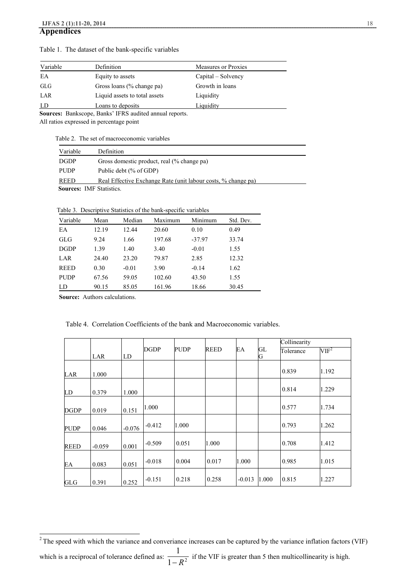| Variable | Definition                    | Measures or Proxies |
|----------|-------------------------------|---------------------|
| EA       | Equity to assets              | Capital – Solvency  |
| GLG      | Gross loans (% change pa)     | Growth in loans     |
| LAR      | Liquid assets to total assets | Liquidity           |
| LD       | Loans to deposits             | Liquidity           |
|          |                               |                     |

Table 1. The dataset of the bank-specific variables

**Sources:** Bankscope, Banks' IFRS audited annual reports.

All ratios expressed in percentage point

Table 2. The set of macroeconomic variables

| Variable    | <b>Definition</b>                                             |
|-------------|---------------------------------------------------------------|
| <b>DGDP</b> | Gross domestic product, real (% change pa)                    |
| <b>PUDP</b> | Public debt (% of GDP)                                        |
| <b>REED</b> | Real Effective Exchange Rate (unit labour costs, % change pa) |
|             | <b>Sources: IMF Statistics.</b>                               |

Table 3. Descriptive Statistics of the bank-specific variables

| Variable    | Mean  | Median  | Maximum | Minimum  | Std. Dev. |
|-------------|-------|---------|---------|----------|-----------|
| EA          | 12.19 | 12.44   | 20.60   | 0.10     | 0.49      |
| GLG         | 9.24  | 1.66    | 197.68  | $-37.97$ | 33.74     |
| <b>DGDP</b> | 1.39  | 1.40    | 3.40    | $-0.01$  | 1.55      |
| LAR         | 24.40 | 23.20   | 79.87   | 2.85     | 12.32     |
| <b>REED</b> | 0.30  | $-0.01$ | 3.90    | $-0.14$  | 1.62      |
| <b>PUDP</b> | 67.56 | 59.05   | 102.60  | 43.50    | 1.55      |
| LD          | 90.15 | 85.05   | 161.96  | 18.66    | 30.45     |

**Source:** Authors calculations.

|             |          |          |             |             |             |          |         | Collinearity |                  |
|-------------|----------|----------|-------------|-------------|-------------|----------|---------|--------------|------------------|
|             | LAR      | LD       | <b>DGDP</b> | <b>PUDP</b> | <b>REED</b> | EA       | GL<br>G | Tolerance    | VIF <sup>2</sup> |
| LAR         | 1.000    |          |             |             |             |          |         | 0.839        | 1.192            |
| LD          | 0.379    | 1.000    |             |             |             |          |         | 0.814        | 1.229            |
| DGDP        | 0.019    | 0.151    | 1.000       |             |             |          |         | 0.577        | 1.734            |
| <b>PUDP</b> | 0.046    | $-0.076$ | $-0.412$    | 1.000       |             |          |         | 0.793        | 1.262            |
| <b>REED</b> | $-0.059$ | 0.001    | $-0.509$    | 0.051       | 1.000       |          |         | 0.708        | 1.412            |
| ЕA          | 0.083    | 0.051    | $-0.018$    | 0.004       | 0.017       | 1.000    |         | 0.985        | 1.015            |
| GLG         | 0.391    | 0.252    | $-0.151$    | 0.218       | 0.258       | $-0.013$ | 1.000   | 0.815        | 1.227            |

Table 4. Correlation Coefficients of the bank and Macroeconomic variables.

which is a reciprocal of tolerance defined as:  $\frac{1}{1-R^2}$ 1  $\frac{1}{R^2}$  if the VIF is greater than 5 then multicollinearity is high.

 $\overline{\phantom{a}}$  $2^2$ The speed with which the variance and converiance increases can be captured by the variance inflation factors (VIF)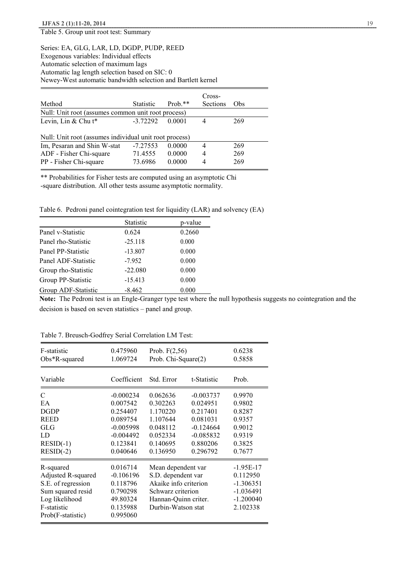Table 5. Group unit root test: Summary

# Series: EA, GLG, LAR, LD, DGDP, PUDP, REED Exogenous variables: Individual effects Automatic selection of maximum lags Automatic lag length selection based on SIC: 0 Newey-West automatic bandwidth selection and Bartlett kernel

|                                                        |                                                    |           | Cross-   |     |  |  |  |  |
|--------------------------------------------------------|----------------------------------------------------|-----------|----------|-----|--|--|--|--|
| Method                                                 | <b>Statistic</b>                                   | $Prob.**$ | Sections | Obs |  |  |  |  |
|                                                        | Null: Unit root (assumes common unit root process) |           |          |     |  |  |  |  |
| Levin, Lin & Chu $t^*$                                 | $-3.72292$                                         | 0.0001    | 4        | 269 |  |  |  |  |
|                                                        |                                                    |           |          |     |  |  |  |  |
| Null: Unit root (assumes individual unit root process) |                                                    |           |          |     |  |  |  |  |
| Im, Pesaran and Shin W-stat                            | $-7.27553$                                         | 0.0000    | 4        | 269 |  |  |  |  |
| ADF - Fisher Chi-square                                | 71.4555                                            | 0.0000    | 4        | 269 |  |  |  |  |
| PP - Fisher Chi-square                                 | 73.6986                                            | 0.0000    | 4        | 269 |  |  |  |  |

\*\* Probabilities for Fisher tests are computed using an asymptotic Chi -square distribution. All other tests assume asymptotic normality.

Table 6. Pedroni panel cointegration test for liquidity (LAR) and solvency (EA)

|                     | <b>Statistic</b> | p-value |
|---------------------|------------------|---------|
| Panel v-Statistic   | 0.624            | 0.2660  |
| Panel rho-Statistic | $-25.118$        | 0.000   |
| Panel PP-Statistic  | $-13.807$        | 0.000   |
| Panel ADF-Statistic | $-7.952$         | 0.000   |
| Group rho-Statistic | $-22.080$        | 0.000   |
| Group PP-Statistic  | $-15.413$        | 0.000   |
| Group ADF-Statistic | $-8.462$         | 0.000   |

**Note:** The Pedroni test is an Engle-Granger type test where the null hypothesis suggests no cointegration and the decision is based on seven statistics – panel and group.

| F-statistic                                                                                                                      | 0.475960                                                                            | Prob. $F(2,56)$                                                                                                                      |             | 0.6238                                                                           |
|----------------------------------------------------------------------------------------------------------------------------------|-------------------------------------------------------------------------------------|--------------------------------------------------------------------------------------------------------------------------------------|-------------|----------------------------------------------------------------------------------|
| $Obs*R$ -squared                                                                                                                 | 1.069724                                                                            | Prob. Chi-Square(2)                                                                                                                  |             | 0.5858                                                                           |
| Variable                                                                                                                         | Coefficient                                                                         | Std. Error                                                                                                                           | t-Statistic | Prob.                                                                            |
| C                                                                                                                                | $-0.000234$                                                                         | 0.062636                                                                                                                             | $-0.003737$ | 0.9970                                                                           |
| EA                                                                                                                               | 0.007542                                                                            | 0.302263                                                                                                                             | 0.024951    | 0.9802                                                                           |
| <b>DGDP</b>                                                                                                                      | 0.254407                                                                            | 1.170220                                                                                                                             | 0.217401    | 0.8287                                                                           |
| <b>REED</b>                                                                                                                      | 0.089754                                                                            | 1.107644                                                                                                                             | 0.081031    | 0.9357                                                                           |
| GLG                                                                                                                              | $-0.005998$                                                                         | 0.048112                                                                                                                             | $-0.124664$ | 0.9012                                                                           |
| LD                                                                                                                               | $-0.004492$                                                                         | 0.052334                                                                                                                             | $-0.085832$ | 0.9319                                                                           |
| $RESID(-1)$                                                                                                                      | 0.123841                                                                            | 0.140695                                                                                                                             | 0.880206    | 0.3825                                                                           |
| $RESID(-2)$                                                                                                                      | 0.040646                                                                            | 0.136950                                                                                                                             | 0.296792    | 0.7677                                                                           |
| R-squared<br>Adjusted R-squared<br>S.E. of regression<br>Sum squared resid<br>Log likelihood<br>F-statistic<br>Prob(F-statistic) | 0.016714<br>$-0.106196$<br>0.118796<br>0.790298<br>49.80324<br>0.135988<br>0.995060 | Mean dependent var<br>S.D. dependent var<br>Akaike info criterion<br>Schwarz criterion<br>Hannan-Quinn criter.<br>Durbin-Watson stat |             | $-1.95E-17$<br>0.112950<br>$-1.306351$<br>$-1.036491$<br>$-1.200040$<br>2.102338 |

Table 7. Breusch-Godfrey Serial Correlation LM Test: